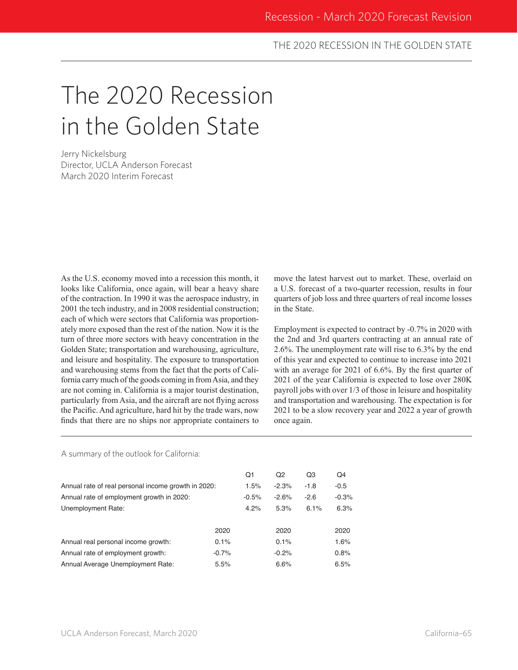### THE 2020 RECESSION IN THE GOLDEN STATE

# The 2020 Recession in the Golden State

Jerry Nickelsburg Director, UCLA Anderson Forecast March 2020 Interim Forecast

As the U.S. economy moved into a recession this month, it looks like California, once again, will bear a heavy share of the contraction. In 1990 it was the aerospace industry, in 2001 the tech industry, and in 2008 residential construction; each of which were sectors that California was proportionately more exposed than the rest of the nation. Now it is the turn of three more sectors with heavy concentration in the Golden State; transportation and warehousing, agriculture, and leisure and hospitality. The exposure to transportation and warehousing stems from the fact that the ports of California carry much of the goods coming in from Asia, and they are not coming in. California is a major tourist destination, particularly from Asia, and the aircraft are not flying across the Pacific. And agriculture, hard hit by the trade wars, now finds that there are no ships nor appropriate containers to move the latest harvest out to market. These, overlaid on a U.S. forecast of a two-quarter recession, results in four quarters of job loss and three quarters of real income losses in the State.

Employment is expected to contract by -0.7% in 2020 with the 2nd and 3rd quarters contracting at an annual rate of 2.6%. The unemployment rate will rise to 6.3% by the end of this year and expected to continue to increase into 2021 with an average for 2021 of 6.6%. By the first quarter of 2021 of the year California is expected to lose over 280K payroll jobs with over 1/3 of those in leisure and hospitality and transportation and warehousing. The expectation is for 2021 to be a slow recovery year and 2022 a year of growth once again.

A summary of the outlook for California:

|                                                     |         | Q1      | Q2      | Q3     | Q4      |
|-----------------------------------------------------|---------|---------|---------|--------|---------|
| Annual rate of real personal income growth in 2020: |         | 1.5%    | $-2.3%$ | $-1.8$ | $-0.5$  |
| Annual rate of employment growth in 2020:           |         | $-0.5%$ | $-2.6%$ | $-2.6$ | $-0.3%$ |
| Unemployment Rate:                                  |         | 4.2%    | 5.3%    | 6.1%   | 6.3%    |
|                                                     | 2020    |         | 2020    |        | 2020    |
| Annual real personal income growth:                 | 0.1%    |         | 0.1%    |        | 1.6%    |
| Annual rate of employment growth:                   | $-0.7%$ |         | $-0.2%$ |        | 0.8%    |
| Annual Average Unemployment Rate:                   | 5.5%    |         | 6.6%    |        | 6.5%    |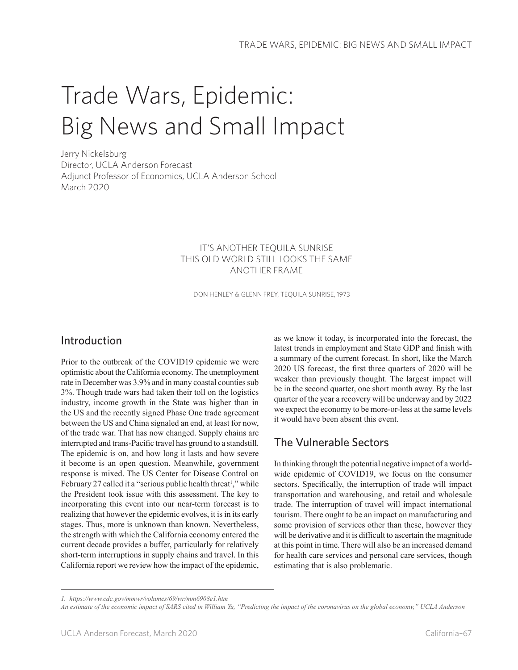# Trade Wars, Epidemic: Big News and Small Impact

Jerry Nickelsburg Director, UCLA Anderson Forecast Adjunct Professor of Economics, UCLA Anderson School March 2020

### IT'S ANOTHER TEQUILA SUNRISE THIS OLD WORLD STILL LOOKS THE SAME ANOTHER FRAME

DON HENLEY & GLENN FREY, TEQUILA SUNRISE, 1973

## Introduction

Prior to the outbreak of the COVID19 epidemic we were optimistic about the California economy. The unemployment rate in December was 3.9% and in many coastal counties sub 3%. Though trade wars had taken their toll on the logistics industry, income growth in the State was higher than in the US and the recently signed Phase One trade agreement between the US and China signaled an end, at least for now, of the trade war. That has now changed. Supply chains are interrupted and trans-Pacific travel has ground to a standstill. The epidemic is on, and how long it lasts and how severe it become is an open question. Meanwhile, government response is mixed. The US Center for Disease Control on February 27 called it a "serious public health threat<sup>1</sup>," while the President took issue with this assessment. The key to incorporating this event into our near-term forecast is to realizing that however the epidemic evolves, it is in its early stages. Thus, more is unknown than known. Nevertheless, the strength with which the California economy entered the current decade provides a buffer, particularly for relatively short-term interruptions in supply chains and travel. In this California report we review how the impact of the epidemic,

as we know it today, is incorporated into the forecast, the latest trends in employment and State GDP and finish with a summary of the current forecast. In short, like the March 2020 US forecast, the first three quarters of 2020 will be weaker than previously thought. The largest impact will be in the second quarter, one short month away. By the last quarter of the year a recovery will be underway and by 2022 we expect the economy to be more-or-less at the same levels it would have been absent this event.

## The Vulnerable Sectors

In thinking through the potential negative impact of a worldwide epidemic of COVID19, we focus on the consumer sectors. Specifically, the interruption of trade will impact transportation and warehousing, and retail and wholesale trade. The interruption of travel will impact international tourism. There ought to be an impact on manufacturing and some provision of services other than these, however they will be derivative and it is difficult to ascertain the magnitude at this point in time. There will also be an increased demand for health care services and personal care services, though estimating that is also problematic.

*<sup>1.</sup> https://www.cdc.gov/mmwr/volumes/69/wr/mm6908e1.htm*

*An estimate of the economic impact of SARS cited in William Yu, "Predicting the impact of the coronavirus on the global economy," UCLA Anderson*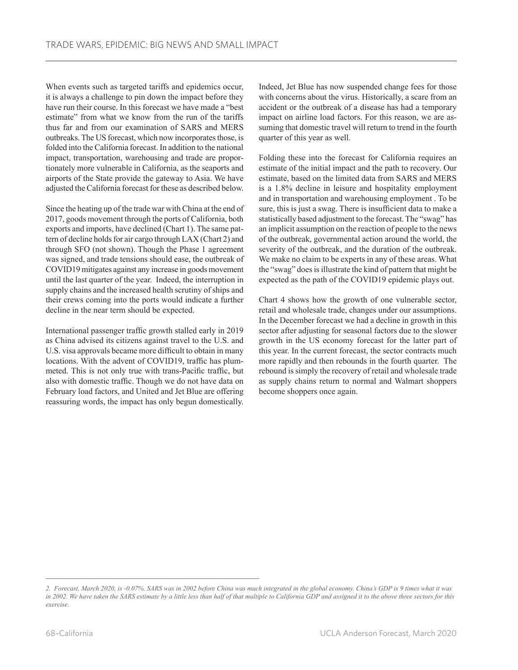When events such as targeted tariffs and epidemics occur, it is always a challenge to pin down the impact before they have run their course. In this forecast we have made a "best estimate" from what we know from the run of the tariffs thus far and from our examination of SARS and MERS outbreaks. The US forecast, which now incorporates those, is folded into the California forecast. In addition to the national impact, transportation, warehousing and trade are proportionately more vulnerable in California, as the seaports and airports of the State provide the gateway to Asia. We have adjusted the California forecast for these as described below.

Since the heating up of the trade war with China at the end of 2017, goods movement through the ports of California, both exports and imports, have declined (Chart 1). The same pattern of decline holds for air cargo through LAX (Chart 2) and through SFO (not shown). Though the Phase 1 agreement was signed, and trade tensions should ease, the outbreak of COVID19 mitigates against any increase in goods movement until the last quarter of the year. Indeed, the interruption in supply chains and the increased health scrutiny of ships and their crews coming into the ports would indicate a further decline in the near term should be expected.

International passenger traffic growth stalled early in 2019 as China advised its citizens against travel to the U.S. and U.S. visa approvals became more difficult to obtain in many locations. With the advent of COVID19, traffic has plummeted. This is not only true with trans-Pacific traffic, but also with domestic traffic. Though we do not have data on February load factors, and United and Jet Blue are offering reassuring words, the impact has only begun domestically.

Indeed, Jet Blue has now suspended change fees for those with concerns about the virus. Historically, a scare from an accident or the outbreak of a disease has had a temporary impact on airline load factors. For this reason, we are assuming that domestic travel will return to trend in the fourth quarter of this year as well.

Folding these into the forecast for California requires an estimate of the initial impact and the path to recovery. Our estimate, based on the limited data from SARS and MERS is a 1.8% decline in leisure and hospitality employment and in transportation and warehousing employment . To be sure, this is just a swag. There is insufficient data to make a statistically based adjustment to the forecast. The "swag" has an implicit assumption on the reaction of people to the news of the outbreak, governmental action around the world, the severity of the outbreak, and the duration of the outbreak. We make no claim to be experts in any of these areas. What the "swag" does is illustrate the kind of pattern that might be expected as the path of the COVID19 epidemic plays out.

Chart 4 shows how the growth of one vulnerable sector, retail and wholesale trade, changes under our assumptions. In the December forecast we had a decline in growth in this sector after adjusting for seasonal factors due to the slower growth in the US economy forecast for the latter part of this year. In the current forecast, the sector contracts much more rapidly and then rebounds in the fourth quarter. The rebound is simply the recovery of retail and wholesale trade as supply chains return to normal and Walmart shoppers become shoppers once again.

*<sup>2.</sup> Forecast, March 2020, is -0.07%. SARS was in 2002 before China was much integrated in the global economy. China's GDP is 9 times what it was in 2002. We have taken the SARS estimate by a little less than half of that multiple to California GDP and assigned it to the above three sectors for this exercise.*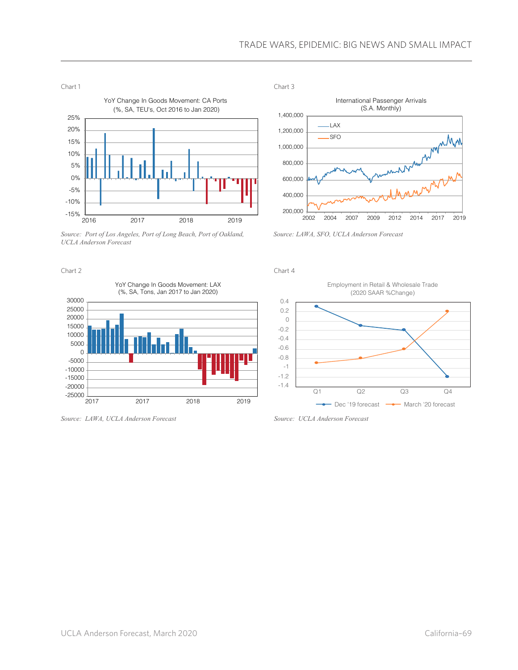#### TRADE WARS, EPIDEMIC: BIG NEWS AND SMALL IMPACT



*Source: Port of Los Angeles, Port of Long Beach, Port of Oakland, UCLA Anderson Forecast*

Chart 2



*Source: LAWA, UCLA Anderson Forecast*



*Source: LAWA, SFO, UCLA Anderson Forecast*

Chart 4



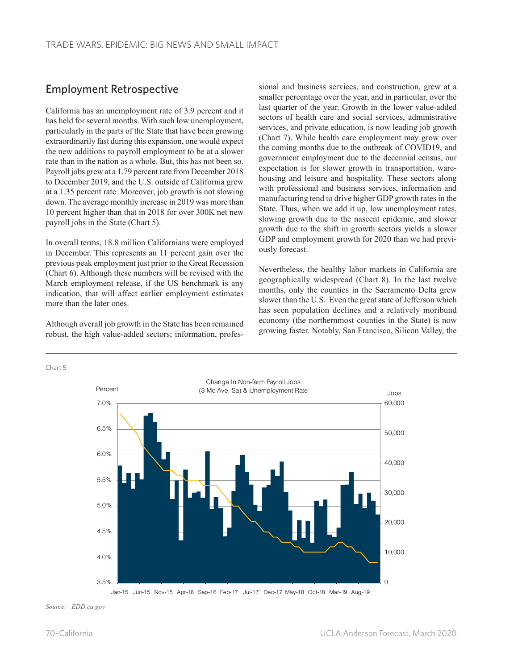## Employment Retrospective

California has an unemployment rate of 3.9 percent and it has held for several months. With such low unemployment, particularly in the parts of the State that have been growing extraordinarily fast during this expansion, one would expect the new additions to payroll employment to be at a slower rate than in the nation as a whole. But, this has not been so. Payroll jobs grew at a 1.79 percent rate from December 2018 to December 2019, and the U.S. outside of California grew at a 1.35 percent rate. Moreover, job growth is not slowing down. The average monthly increase in 2019 was more than 10 percent higher than that in 2018 for over 300K net new payroll jobs in the State (Chart 5).

In overall terms, 18.8 million Californians were employed in December. This represents an 11 percent gain over the previous peak employment just prior to the Great Recession (Chart 6). Although these numbers will be revised with the March employment release, if the US benchmark is any indication, that will affect earlier employment estimates more than the later ones.

Although overall job growth in the State has been remained robust, the high value-added sectors; information, professional and business services, and construction, grew at a smaller percentage over the year, and in particular, over the last quarter of the year. Growth in the lower value-added sectors of health care and social services, administrative services, and private education, is now leading job growth (Chart 7). While health care employment may grow over the coming months due to the outbreak of COVID19, and government employment due to the decennial census, our expectation is for slower growth in transportation, warehousing and leisure and hospitality. These sectors along with professional and business services, information and manufacturing tend to drive higher GDP growth rates in the State. Thus, when we add it up, low unemployment rates, slowing growth due to the nascent epidemic, and slower growth due to the shift in growth sectors yields a slower GDP and employment growth for 2020 than we had previously forecast.

Nevertheless, the healthy labor markets in California are geographically widespread (Chart 8). In the last twelve months, only the counties in the Sacramento Delta grew slower than the U.S. Even the great state of Jefferson which has seen population declines and a relatively moribund economy (the northernmost counties in the State) is now growing faster. Notably, San Francisco, Silicon Valley, the

#### Chart 5



*Source: EDD.ca.gov*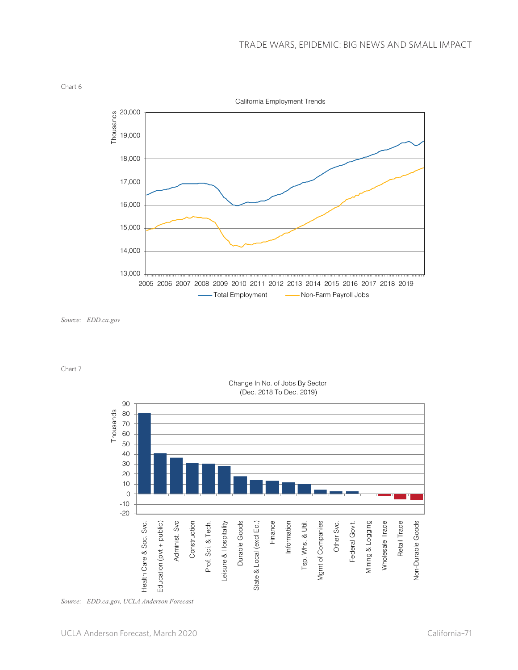

*Source: EDD.ca.gov*

Chart 7



#### Change In No. of Jobs By Sector (Dec. 2018 To Dec. 2019)

*Source: EDD.ca.gov, UCLA Anderson Forecast*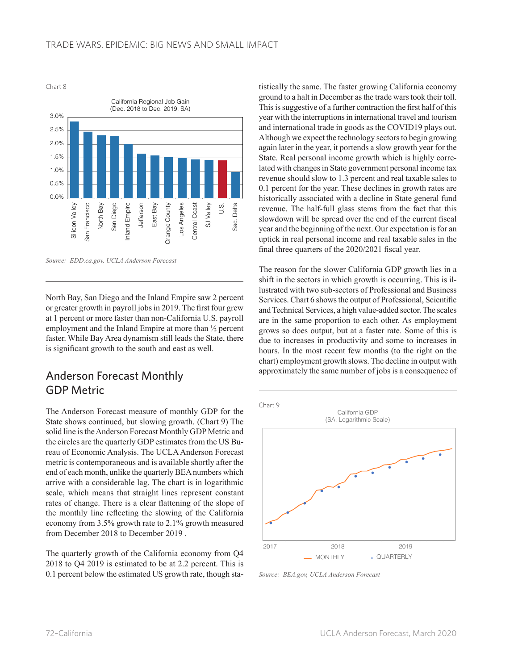Chart 8



*Source: EDD.ca.gov, UCLA Anderson Forecast*

North Bay, San Diego and the Inland Empire saw 2 percent or greater growth in payroll jobs in 2019. The first four grew at 1 percent or more faster than non-California U.S. payroll employment and the Inland Empire at more than ½ percent faster. While Bay Area dynamism still leads the State, there is significant growth to the south and east as well.

## Anderson Forecast Monthly GDP Metric

The Anderson Forecast measure of monthly GDP for the State shows continued, but slowing growth. (Chart 9) The solid line is the Anderson Forecast Monthly GDP Metric and the circles are the quarterly GDP estimates from the US Bureau of Economic Analysis. The UCLA Anderson Forecast metric is contemporaneous and is available shortly after the end of each month, unlike the quarterly BEA numbers which arrive with a considerable lag. The chart is in logarithmic scale, which means that straight lines represent constant rates of change. There is a clear flattening of the slope of the monthly line reflecting the slowing of the California economy from 3.5% growth rate to 2.1% growth measured from December 2018 to December 2019 .

The quarterly growth of the California economy from Q4 2018 to Q4 2019 is estimated to be at 2.2 percent. This is 0.1 percent below the estimated US growth rate, though statistically the same. The faster growing California economy ground to a halt in December as the trade wars took their toll. This is suggestive of a further contraction the first half of this year with the interruptions in international travel and tourism and international trade in goods as the COVID19 plays out. Although we expect the technology sectors to begin growing again later in the year, it portends a slow growth year for the State. Real personal income growth which is highly correlated with changes in State government personal income tax revenue should slow to 1.3 percent and real taxable sales to 0.1 percent for the year. These declines in growth rates are historically associated with a decline in State general fund revenue. The half-full glass stems from the fact that this slowdown will be spread over the end of the current fiscal year and the beginning of the next. Our expectation is for an uptick in real personal income and real taxable sales in the final three quarters of the 2020/2021 fiscal year.

The reason for the slower California GDP growth lies in a shift in the sectors in which growth is occurring. This is illustrated with two sub-sectors of Professional and Business Services. Chart 6 shows the output of Professional, Scientific and Technical Services, a high value-added sector. The scales are in the same proportion to each other. As employment grows so does output, but at a faster rate. Some of this is due to increases in productivity and some to increases in hours. In the most recent few months (to the right on the chart) employment growth slows. The decline in output with approximately the same number of jobs is a consequence of



*Source: BEA.gov, UCLA Anderson Forecast*